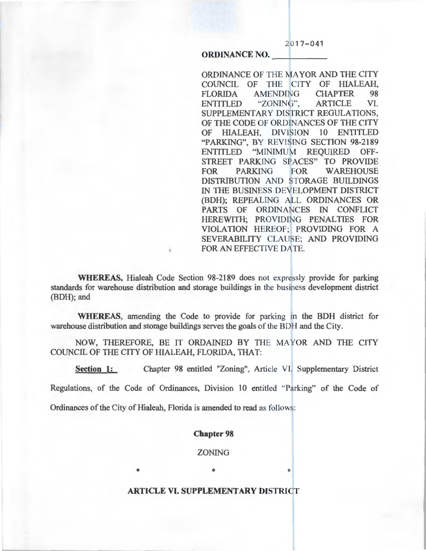$2017 - 041$ 

## ORDINANCE NO.

ORDINANCE OF THE MAYOR AND THE CITY COUNCIL OF THE CITY OF HIALEAH, FLORIDA AMENDING CHAPTER 98 ENTITLED "ZONING", ARTICLE VI. SUPPLEMENTARY DISTRICT REGULATIONS, OF THE CODE OF ORDINANCES OF THE CITY OF HIALEAH, DIVISION 10 ENTITLED "PARKING", BY REVISING SECTION 98-2189 ENTITLED "MINIMUM REQUIRED OFF-STREET PARKING SPACES" TO PROVIDE FOR PARKING FOR WAREHOUSE DISTRIBUTION AND STORAGE BUILDINGS IN THE BUSINESS DEVELOPMENT DISTRICT (BDH); REPEALING ALL ORDINANCES OR PARTS OF ORDINANCES IN CONFLICT HEREWITH; PROVIDING PENALTIES FOR VIOLATION HEREOF; PROVIDING FOR A SEVERABILITY CLAUSE; AND PROVIDING FOR AN EFFECTIVE DATE.

WHEREAS, Hialeah Code Section 98-2189 does not expressly provide for parking standards for warehouse distribution and storage buildings in the business development district (BDH); and

WHEREAS, amending the Code to provide for parking in the BDH district for warehouse distribution and storage buildings serves the goals of the BDH and the City.

NOW, THEREFORE, BE IT ORDAINED BY THE MAYOR AND THE CITY COUNCIL OF THE CITY OF HIALEAH, FLORIDA, THAT:

Section 1: Chapter 98 entitled "Zoning", Article VI. Supplementary District

Regulations, of the Code of Ordinances, Division 10 entitled "Parking" of the Code of

Ordinances of the City of Hialeah, Florida is amended to read as follows:

#### Chapter 98

ZONING

## ARTICLE VI. SUPPLEMENTARY DISTRICT

\* \* \*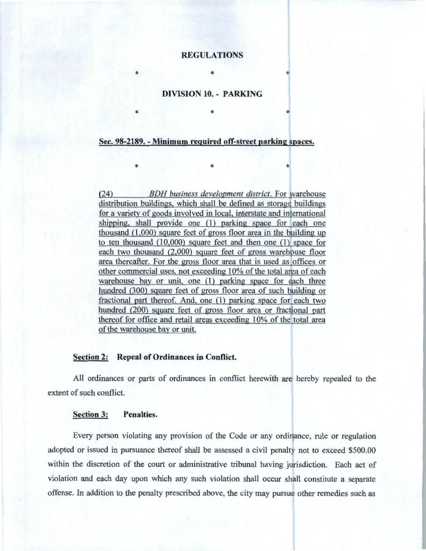# **REGULATIONS**

## **DIVISION 10. - PARKING**

\*  $\mathbb{R}$  \*  $\mathbb{R}$   $\mathbb{R}$   $\mathbb{R}$   $\mathbb{R}$   $\mathbb{R}$   $\mathbb{R}$   $\mathbb{R}$   $\mathbb{R}$   $\mathbb{R}$   $\mathbb{R}$   $\mathbb{R}$   $\mathbb{R}$   $\mathbb{R}$   $\mathbb{R}$   $\mathbb{R}$   $\mathbb{R}$   $\mathbb{R}$   $\mathbb{R}$   $\mathbb{R}$   $\mathbb{R}$   $\mathbb{R}$   $\mathbb{R}$   $\mathbb{R}$ 

\* \* \*

 $*$  and  $*$  and  $*$  and  $*$  and  $*$  and  $*$ 

#### **Sec. 98-2189.- Minimum required off-street parking spaces.**

(24) *BDH business development district.* For warehouse distribution buildings, which shall be defined as storage buildings for a variety of goods involved in local, interstate and international shipping, shall provide one (1) parking space for each one thousand  $(1,000)$  square feet of gross floor area in the building up to ten thousand (10,000) square feet and then one (1) space for each two thousand (2,000) square feet of gross warehouse floor area thereafter. For the gross floor area that is used as offices or other commercial uses, not exceeding 10% of the total area of each warehouse bay or unit, one (1) parking space for each three hundred (300) square feet of gross floor area of such building or fractional part thereof. And, one (1) parking space for each two hundred (200) square feet of gross floor area or fractional part thereof for office and retail areas exceeding 10% of the total area of the warehouse bay or unit.

#### **Section 2: Repeal of Ordinances in Conflict.**

All ordinances or parts of ordinances in conflict herewith are hereby repealed to the extent of such conflict.

## **Section 3: Penalties.**

Every person violating any provision of the Code or any ordinance, rule or regulation adopted or issued in pursuance thereof shall be assessed a civil penalty not to exceed \$500.00 within the discretion of the court or administrative tribunal having jurisdiction. Each act of violation and each day upon which any such violation shall occur shall constitute a separate offense. In addition to the penalty prescribed above, the city may pursue other remedies such as